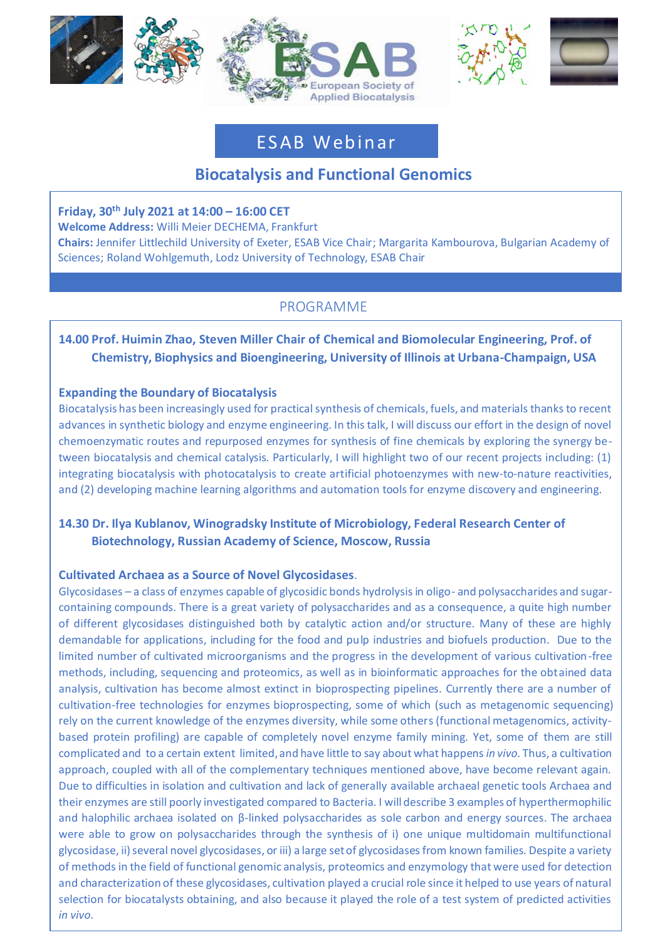





# ES AB Web in ar

# **Biocatalysis and Functional Genomics**

### **Friday, 30th July 2021 at 14:00 – 16:00 CET**

**Moderator:** Willi Meier DECHEMA, Frankfurt

**Welcome Address:** Willi Meier DECHEMA, Frankfurt **Chairs:** Jennifer Littlechild University of Exeter, ESAB Vice Chair; Margarita Kambourova, Bulgarian Academy of Sciences; Roland Wohlgemuth, Lodz University of Technology, ESAB Chair

# PROGRAMME

## **14.00 Prof. Huimin Zhao, Steven Miller Chair of Chemical and Biomolecular Engineering, Prof. of Chemistry, Biophysics and Bioengineering, University of Illinois at Urbana-Champaign, USA**

#### **Expanding the Boundary of Biocatalysis**

Biocatalysis has been increasingly used for practical synthesis of chemicals, fuels, and materials thanks to recent advances in synthetic biology and enzyme engineering. In this talk, I will discuss our effort in the design of novel chemoenzymatic routes and repurposed enzymes for synthesis of fine chemicals by exploring the synergy between biocatalysis and chemical catalysis. Particularly, I will highlight two of our recent projects including: (1) integrating biocatalysis with photocatalysis to create artificial photoenzymes with new-to-nature reactivities, and (2) developing machine learning algorithms and automation tools for enzyme discovery and engineering.

## **14.30 Dr. Ilya Kublanov, Winogradsky Institute of Microbiology, Federal Research Center of Biotechnology, Russian Academy of Science, Moscow, Russia**

### **Cultivated Archaea as a Source of Novel Glycosidases**.

Glycosidases – a class of enzymes capable of glycosidic bonds hydrolysis in oligo- and polysaccharides and sugarcontaining compounds. There is a great variety of polysaccharides and as a consequence, a quite high number of different glycosidases distinguished both by catalytic action and/or structure. Many of these are highly demandable for applications, including for the food and pulp industries and biofuels production. Due to the limited number of cultivated microorganisms and the progress in the development of various cultivation-free methods, including, sequencing and proteomics, as well as in bioinformatic approaches for the obtained data analysis, cultivation has become almost extinct in bioprospecting pipelines. Currently there are a number of cultivation-free technologies for enzymes bioprospecting, some of which (such as metagenomic sequencing) rely on the current knowledge of the enzymes diversity, while some others (functional metagenomics, activitybased protein profiling) are capable of completely novel enzyme family mining. Yet, some of them are still complicated and to a certain extent limited, and have little to say about what happens *in vivo*. Thus, a cultivation approach, coupled with all of the complementary techniques mentioned above, have become relevant again. Due to difficulties in isolation and cultivation and lack of generally available archaeal genetic tools Archaea and their enzymes are still poorly investigated compared to Bacteria. I will describe 3 examples of hyperthermophilic and halophilic archaea isolated on β-linked polysaccharides as sole carbon and energy sources. The archaea were able to grow on polysaccharides through the synthesis of i) one unique multidomain multifunctional glycosidase, ii) several novel glycosidases, or iii) a large set of glycosidases from known families. Despite a variety of methods in the field of functional genomic analysis, proteomics and enzymology that were used for detection and characterization of these glycosidases, cultivation played a crucial role since it helped to use years of natural selection for biocatalysts obtaining, and also because it played the role of a test system of predicted activities *in vivo*.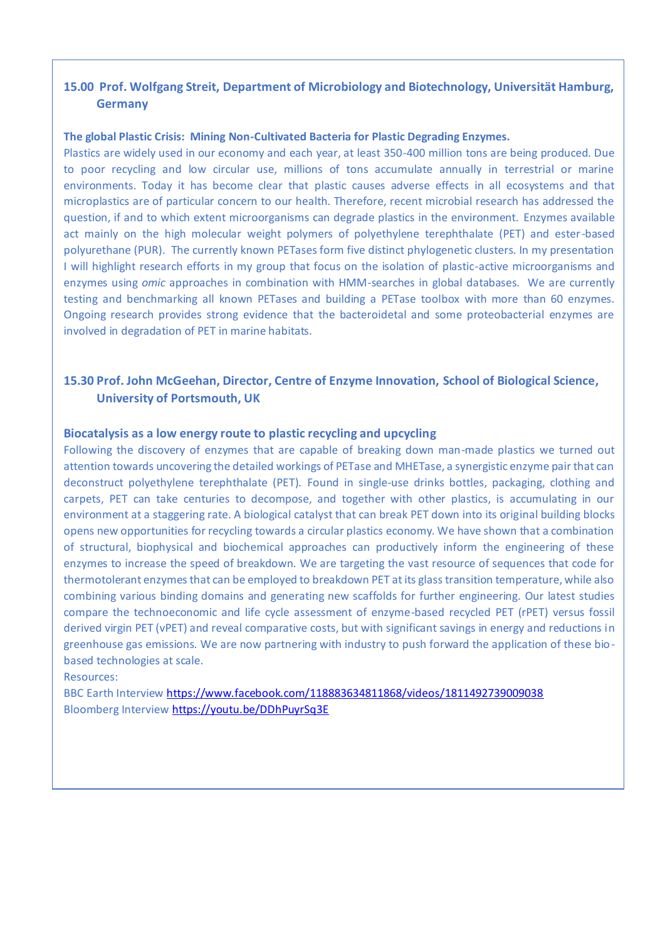#### **15.00 Prof. Wolfgang Streit, Department of Microbiology and Biotechnology, Universität Hamburg, Germany**

#### **The global Plastic Crisis: Mining Non-Cultivated Bacteria for Plastic Degrading Enzymes.**

Plastics are widely used in our economy and each year, at least 350-400 million tons are being produced. Due to poor recycling and low circular use, millions of tons accumulate annually in terrestrial or marine environments. Today it has become clear that plastic causes adverse effects in all ecosystems and that microplastics are of particular concern to our health. Therefore, recent microbial research has addressed the question, if and to which extent microorganisms can degrade plastics in the environment. Enzymes available act mainly on the high molecular weight polymers of polyethylene terephthalate (PET) and ester-based polyurethane (PUR). The currently known PETases form five distinct phylogenetic clusters. In my presentation I will highlight research efforts in my group that focus on the isolation of plastic-active microorganisms and enzymes using *omic* approaches in combination with HMM-searches in global databases. We are currently testing and benchmarking all known PETases and building a PETase toolbox with more than 60 enzymes. Ongoing research provides strong evidence that the bacteroidetal and some proteobacterial enzymes are involved in degradation of PET in marine habitats.

#### **15.30 Prof. John McGeehan, Director, Centre of Enzyme Innovation, School of Biological Science, University of Portsmouth, UK**

#### **Biocatalysis as a low energy route to plastic recycling and upcycling**

opens new opportunities for recycling towards a circular plastics economy. We have shown that a combination of structural, biophysical and biochemical approaches can productively inform the engineering of these Following the discovery of enzymes that are capable of breaking down man-made plastics we turned out attention towards uncovering the detailed workings of PETase and MHETase, a synergistic enzyme pair that can deconstruct polyethylene terephthalate (PET). Found in single-use drinks bottles, packaging, clothing and carpets, PET can take centuries to decompose, and together with other plastics, is accumulating in our environment at a staggering rate. A biological catalyst that can break PET down into its original building blocks enzymes to increase the speed of breakdown. We are targeting the vast resource of sequences that code for thermotolerant enzymes that can be employed to breakdown PET at its glass transition temperature, while also combining various binding domains and generating new scaffolds for further engineering. Our latest studies compare the technoeconomic and life cycle assessment of enzyme-based recycled PET (rPET) versus fossil derived virgin PET (vPET) and reveal comparative costs, but with significant savings in energy and reductions in greenhouse gas emissions. We are now partnering with industry to push forward the application of these biobased technologies at scale.

Resources:

BBC Earth Intervie[w https://www.facebook.com/118883634811868/videos/1811492739009038](https://www.facebook.com/118883634811868/videos/1811492739009038) Bloomberg Intervie[w https://youtu.be/DDhPuyrSq3E](https://youtu.be/DDhPuyrSq3E)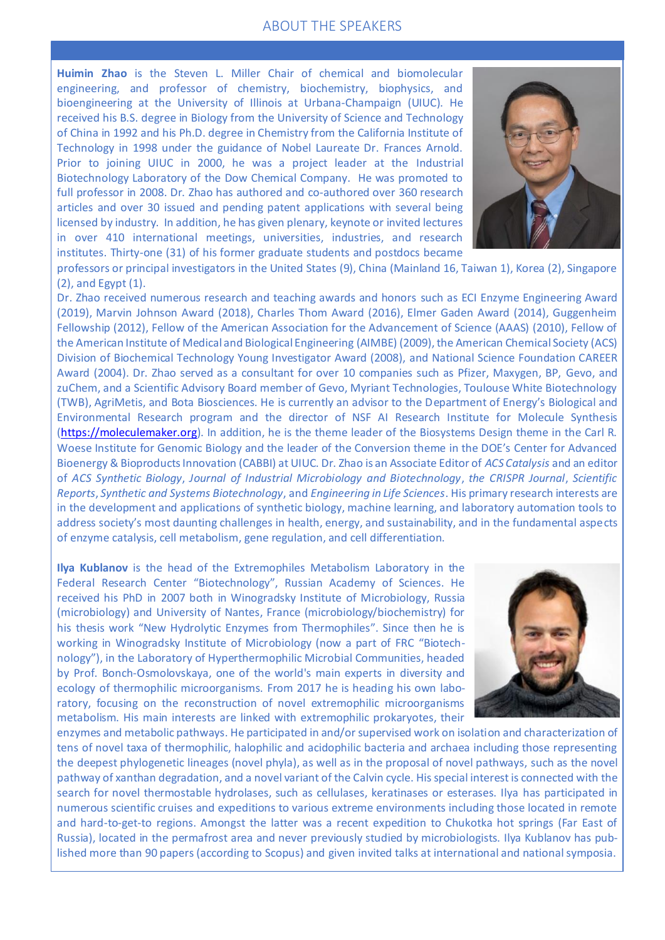#### ABOUT THE SPEAKERS

bioengineering at the University of Illinois at Urbana-Champaign (UIUC). He of China in 1992 and his Ph.D. degree in Chemistry from the California Institute of **Huimin Zhao** is the Steven L. Miller Chair of chemical and biomolecular engineering, and professor of chemistry, biochemistry, biophysics, and received his B.S. degree in Biology from the University of Science and Technology Technology in 1998 under the guidance of Nobel Laureate Dr. Frances Arnold. Prior to joining UIUC in 2000, he was a project leader at the Industrial Biotechnology Laboratory of the Dow Chemical Company. He was promoted to full professor in 2008. Dr. Zhao has authored and co-authored over 360 research articles and over 30 issued and pending patent applications with several being licensed by industry. In addition, he has given plenary, keynote or invited lectures in over 410 international meetings, universities, industries, and research institutes. Thirty-one (31) of his former graduate students and postdocs became



professors or principal investigators in the United States (9), China (Mainland 16, Taiwan 1), Korea (2), Singapore (2), and Egypt (1).

Dr. Zhao received numerous research and teaching awards and honors such as ECI Enzyme Engineering Award (2019), Marvin Johnson Award (2018), Charles Thom Award (2016), Elmer Gaden Award (2014), Guggenheim Fellowship (2012), Fellow of the American Association for the Advancement of Science (AAAS) (2010), Fellow of the American Institute of Medical and Biological Engineering (AIMBE) (2009), the American Chemical Society (ACS) Division of Biochemical Technology Young Investigator Award (2008), and National Science Foundation CAREER Award (2004). Dr. Zhao served as a consultant for over 10 companies such as Pfizer, Maxygen, BP, Gevo, and zuChem, and a Scientific Advisory Board member of Gevo, Myriant Technologies, Toulouse White Biotechnology (TWB), AgriMetis, and Bota Biosciences. He is currently an advisor to the Department of Energy's Biological and Environmental Research program and the director of NSF AI Research Institute for Molecule Synthesis [\(https://moleculemaker.org\)](https://moleculemaker.org/). In addition, he is the theme leader of the Biosystems Design theme in the Carl R. Woese Institute for Genomic Biology and the leader of the Conversion theme in the DOE's Center for Advanced Bioenergy & Bioproducts Innovation (CABBI) at UIUC. Dr. Zhao is an Associate Editor of *ACS Catalysis* and an editor of *ACS Synthetic Biology*, *Journal of Industrial Microbiology and Biotechnology*, *the CRISPR Journal*, *Scientific Reports*, *Synthetic and Systems Biotechnology*, and *Engineering in Life Sciences*. His primary research interests are in the development and applications of synthetic biology, machine learning, and laboratory automation tools to address society's most daunting challenges in health, energy, and sustainability, and in the fundamental aspects of enzyme catalysis, cell metabolism, gene regulation, and cell differentiation.

**Ilya Kublanov** is the head of the Extremophiles Metabolism Laboratory in the Federal Research Center "Biotechnology", Russian Academy of Sciences. He received his PhD in 2007 both in Winogradsky Institute of Microbiology, Russia (microbiology) and University of Nantes, France (microbiology/biochemistry) for his thesis work "New Hydrolytic Enzymes from Thermophiles". Since then he is working in Winogradsky Institute of Microbiology (now a part of FRC "Biotechnology"), in the Laboratory of Hyperthermophilic Microbial Communities, headed by Prof. Bonch-Osmolovskaya, one of the world's main experts in diversity and ecology of thermophilic microorganisms. From 2017 he is heading his own laboratory, focusing on the reconstruction of novel extremophilic microorganisms metabolism. His main interests are linked with extremophilic prokaryotes, their



enzymes and metabolic pathways. He participated in and/or supervised work on isolation and characterization of tens of novel taxa of thermophilic, halophilic and acidophilic bacteria and archaea including those representing the deepest phylogenetic lineages (novel phyla), as well as in the proposal of novel pathways, such as the novel pathway of xanthan degradation, and a novel variant of the Calvin cycle. His special interest is connected with the search for novel thermostable hydrolases, such as cellulases, keratinases or esterases. Ilya has participated in numerous scientific cruises and expeditions to various extreme environments including those located in remote and hard-to-get-to regions. Amongst the latter was a recent expedition to Chukotka hot springs (Far East of Russia), located in the permafrost area and never previously studied by microbiologists. Ilya Kublanov has published more than 90 papers (according to Scopus) and given invited talks at international and national symposia.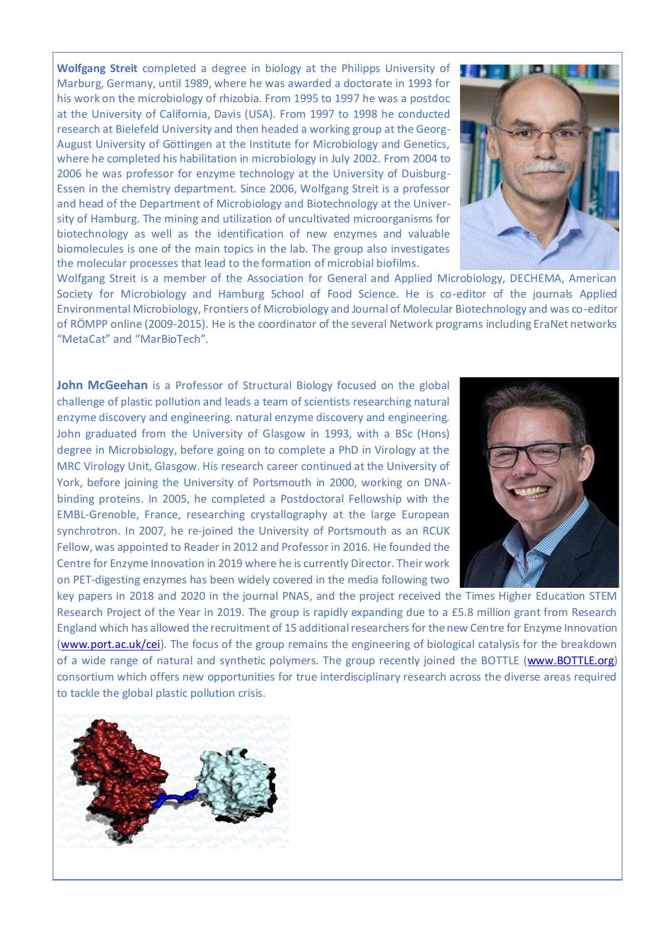**Wolfgang Streit** completed a degree in biology at the Philipps University of Marburg, Germany, until 1989, where he was awarded a doctorate in 1993 for his work on the microbiology of rhizobia. From 1995 to 1997 he was a postdoc at the University of California, Davis (USA). From 1997 to 1998 he conducted research at Bielefeld University and then headed a working group at the Georg-August University of Göttingen at the Institute for Microbiology and Genetics, where he completed his habilitation in microbiology in July 2002. From 2004 to 2006 he was professor for enzyme technology at the University of Duisburg-Essen in the chemistry department. Since 2006, Wolfgang Streit is a professor and head of the Department of Microbiology and Biotechnology at the University of Hamburg. The mining and utilization of uncultivated microorganisms for biotechnology as well as the identification of new enzymes and valuable biomolecules is one of the main topics in the lab. The group also investigates the molecular processes that lead to the formation of microbial biofilms.



of RÖMPP online (2009-2015). He is the coordinator of the several Network programs including EraNet networks<br>"Mate Get" and "Macelia Tark" Wolfgang Streit is a member of the Association for General and Applied Microbiology, DECHEMA, American Society for Microbiology and Hamburg School of Food Science. He is co-editor of the journals Applied Environmental Microbiology, Frontiers of Microbiology and Journal of Molecular Biotechnology and was co-editor "MetaCat" and "MarBioTech".

**John McGeehan** is a Professor of Structural Biology focused on the global challenge of plastic pollution and leads a team of scientists researching natural enzyme discovery and engineering. natural enzyme discovery and engineering. John graduated from the University of Glasgow in 1993, with a BSc (Hons) degree in Microbiology, before going on to complete a PhD in Virology at the MRC Virology Unit, Glasgow. His research career continued at the University of York, before joining the University of Portsmouth in 2000, working on DNAbinding proteins. In 2005, he completed a Postdoctoral Fellowship with the EMBL-Grenoble, France, researching crystallography at the large European synchrotron. In 2007, he re-joined the University of Portsmouth as an RCUK Fellow, was appointed to Reader in 2012 and Professor in 2016. He founded the Centre for Enzyme Innovation in 2019 where he is currently Director. Their work on PET-digesting enzymes has been widely covered in the media following two



key papers in 2018 and 2020 in the journal PNAS, and the project received the Times Higher Education STEM Research Project of the Year in 2019. The group is rapidly expanding due to a £5.8 million grant from Research England which has allowed the recruitment of 15 additional researchers for the new Centre for Enzyme Innovation [\(www.port.ac.uk/cei\)](http://www.port.ac.uk/cei). The focus of the group remains the engineering of biological catalysis for the breakdown of a wide range of natural and synthetic polymers. The group recently joined the BOTTLE [\(www.BOTTLE.org\)](http://www.bottle.org/) consortium which offers new opportunities for true interdisciplinary research across the diverse areas required to tackle the global plastic pollution crisis.